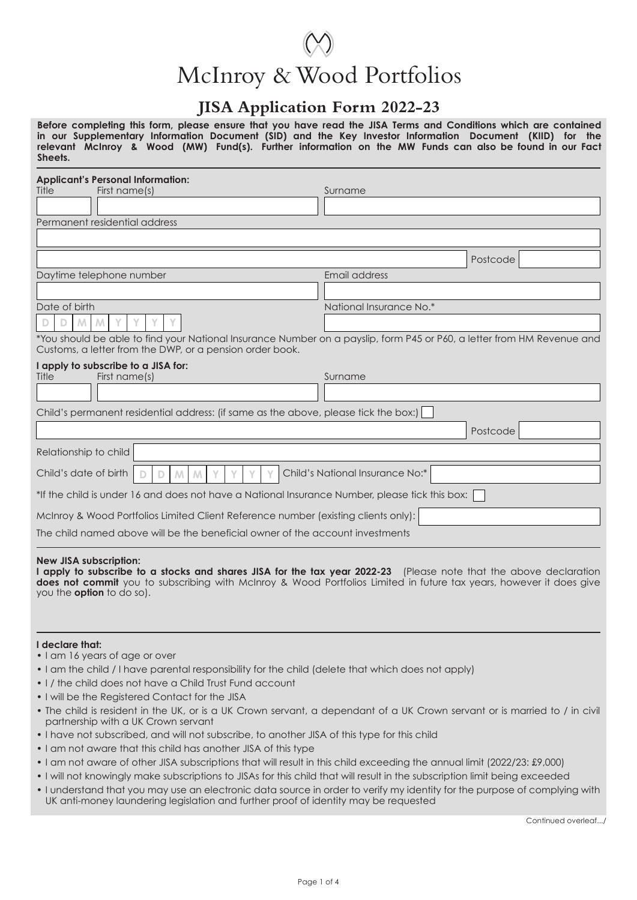# McInroy & Wood Portfolios

### **JISA Application Form 2022-23**

**Before completing this form, please ensure that you have read the JISA Terms and Conditions which are contained in our Supplementary Information Document (SID) and the Key Investor Information Document (KIID) for the relevant McInroy & Wood (MW) Fund(s). Further information on the MW Funds can also be found in our Fact Sheets.**

| <b>Applicant's Personal Information:</b><br>First name(s)<br>Title                                                                                                                 | Surname                 |  |  |  |  |
|------------------------------------------------------------------------------------------------------------------------------------------------------------------------------------|-------------------------|--|--|--|--|
|                                                                                                                                                                                    |                         |  |  |  |  |
| Permanent residential address                                                                                                                                                      |                         |  |  |  |  |
|                                                                                                                                                                                    |                         |  |  |  |  |
|                                                                                                                                                                                    | Postcode                |  |  |  |  |
| Daytime telephone number                                                                                                                                                           | Email address           |  |  |  |  |
|                                                                                                                                                                                    |                         |  |  |  |  |
| Date of birth                                                                                                                                                                      | National Insurance No.* |  |  |  |  |
| Μ<br>D<br>M                                                                                                                                                                        |                         |  |  |  |  |
| *You should be able to find your National Insurance Number on a payslip, form P45 or P60, a letter from HM Revenue and<br>Customs, a letter from the DWP, or a pension order book. |                         |  |  |  |  |
| I apply to subscribe to a JISA for:<br>Title<br>First name(s)                                                                                                                      | Surname                 |  |  |  |  |
|                                                                                                                                                                                    |                         |  |  |  |  |
| Child's permanent residential address: (if same as the above, please tick the box:)                                                                                                |                         |  |  |  |  |
|                                                                                                                                                                                    | Postcode                |  |  |  |  |
| Relationship to child                                                                                                                                                              |                         |  |  |  |  |
| Child's National Insurance No:*<br>Child's date of birth                                                                                                                           |                         |  |  |  |  |
| *If the child is under 16 and does not have a National Insurance Number, please tick this box:                                                                                     |                         |  |  |  |  |
| McInroy & Wood Portfolios Limited Client Reference number (existing clients only):                                                                                                 |                         |  |  |  |  |
| The child named above will be the beneficial owner of the account investments                                                                                                      |                         |  |  |  |  |
|                                                                                                                                                                                    |                         |  |  |  |  |

#### **New JISA subscription:**

**I apply to subscribe to a stocks and shares JISA for the tax year 2022-23** (Please note that the above declaration **does not commit** you to subscribing with McInroy & Wood Portfolios Limited in future tax years, however it does give you the **option** to do so).

#### **I declare that:**

- I am 16 years of age or over
- I am the child / I have parental responsibility for the child (delete that which does not apply)
- I / the child does not have a Child Trust Fund account
- I will be the Registered Contact for the JISA
- The child is resident in the UK, or is a UK Crown servant, a dependant of a UK Crown servant or is married to / in civil partnership with a UK Crown servant
- I have not subscribed, and will not subscribe, to another JISA of this type for this child
- I am not aware that this child has another JISA of this type
- I am not aware of other JISA subscriptions that will result in this child exceeding the annual limit (2022/23: £9,000)
- I will not knowingly make subscriptions to JISAs for this child that will result in the subscription limit being exceeded
- I understand that you may use an electronic data source in order to verify my identity for the purpose of complying with UK anti-money laundering legislation and further proof of identity may be requested

Continued overleaf.../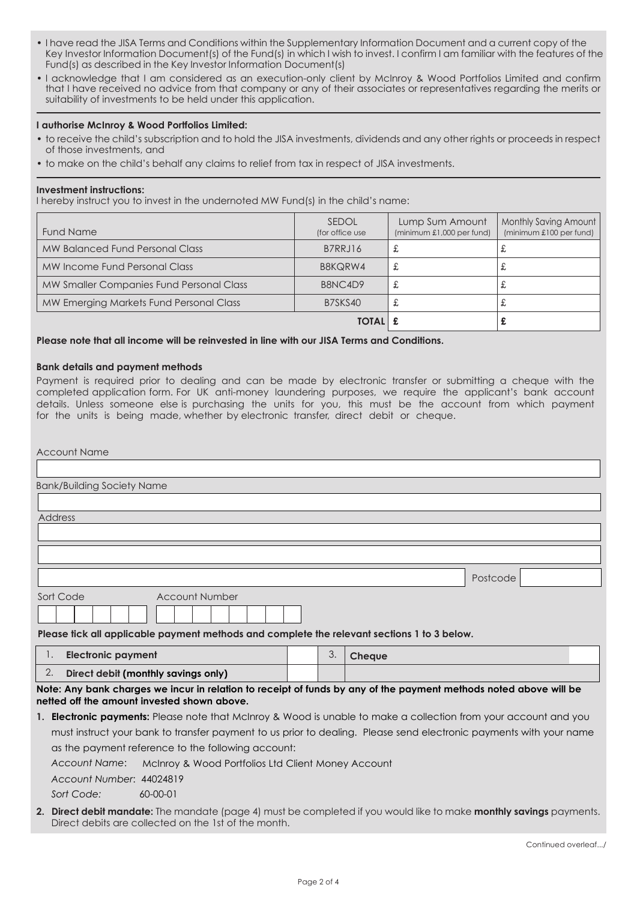- I have read the JISA Terms and Conditions within the Supplementary Information Document and a current copy of the Key Investor Information Document(s) of the Fund(s) in which I wish to invest. I confirm I am familiar with the features of the Fund(s) as described in the Key Investor Information Document(s)
- I acknowledge that I am considered as an execution-only client by McInroy & Wood Portfolios Limited and confirm that I have received no advice from that company or any of their associates or representatives regarding the merits or suitability of investments to be held under this application.

#### **I authorise McInroy & Wood Portfolios Limited:**

- to receive the child's subscription and to hold the JISA investments, dividends and any other rights or proceeds in respect of those investments, and
- to make on the child's behalf any claims to relief from tax in respect of JISA investments.

#### **Investment instructions:**

I hereby instruct you to invest in the undernoted MW Fund(s) in the child's name:

| <b>Fund Name</b>                         | <b>SEDOL</b><br>(for office use) | Lump Sum Amount<br>(minimum £1,000 per fund) | Monthly Saving Amount<br>(minimum £100 per fund) |  |
|------------------------------------------|----------------------------------|----------------------------------------------|--------------------------------------------------|--|
| MW Balanced Fund Personal Class          | B7RRJ16                          |                                              | む                                                |  |
| MW Income Fund Personal Class            | B8KQRW4                          |                                              | む                                                |  |
| MW Smaller Companies Fund Personal Class | B8NC4D9                          |                                              | む                                                |  |
| MW Emerging Markets Fund Personal Class  | B7SKS40                          |                                              | む                                                |  |
|                                          | <b>TOTAL</b>                     |                                              |                                                  |  |

#### **Please note that all income will be reinvested in line with our JISA Terms and Conditions.**

#### **Bank details and payment methods**

Payment is required prior to dealing and can be made by electronic transfer or submitting a cheque with the completed application form. For UK anti-money laundering purposes, we require the applicant's bank account details. Unless someone else is purchasing the units for you, this must be the account from which payment for the units is being made, whether by electronic transfer, direct debit or cheque.

| <b>Account Name</b>                                                                                                                                              |  |    |                                                                                                                    |  |  |  |
|------------------------------------------------------------------------------------------------------------------------------------------------------------------|--|----|--------------------------------------------------------------------------------------------------------------------|--|--|--|
|                                                                                                                                                                  |  |    |                                                                                                                    |  |  |  |
| <b>Bank/Building Society Name</b>                                                                                                                                |  |    |                                                                                                                    |  |  |  |
|                                                                                                                                                                  |  |    |                                                                                                                    |  |  |  |
| <b>Address</b>                                                                                                                                                   |  |    |                                                                                                                    |  |  |  |
|                                                                                                                                                                  |  |    |                                                                                                                    |  |  |  |
|                                                                                                                                                                  |  |    |                                                                                                                    |  |  |  |
|                                                                                                                                                                  |  |    | Postcode                                                                                                           |  |  |  |
| <b>Account Number</b><br>Sort Code<br>Please tick all applicable payment methods and complete the relevant sections 1 to 3 below.                                |  |    |                                                                                                                    |  |  |  |
| <b>Electronic payment</b><br>Д,                                                                                                                                  |  | 3. | <b>Cheque</b>                                                                                                      |  |  |  |
| Direct debit (monthly savings only)<br>2.                                                                                                                        |  |    |                                                                                                                    |  |  |  |
| Note: Any bank charges we incur in relation to receipt of funds by any of the payment methods noted above will be<br>netted off the amount invested shown above. |  |    |                                                                                                                    |  |  |  |
| 1. <b>Electronic payments:</b> Please note that McInroy & Wood is unable to make a collection from your account and you                                          |  |    |                                                                                                                    |  |  |  |
|                                                                                                                                                                  |  |    | must instruct your bank to transfer payment to us prior to dealing. Please send electronic payments with your name |  |  |  |
| as the payment reference to the following account:                                                                                                               |  |    |                                                                                                                    |  |  |  |
| Account Name:<br>McInroy & Wood Portfolios Ltd Client Money Account                                                                                              |  |    |                                                                                                                    |  |  |  |
| Account Number: 44024819                                                                                                                                         |  |    |                                                                                                                    |  |  |  |

*Sort Code:* 60-00-01

**2. Direct debit mandate:** The mandate (page 4) must be completed if you would like to make **monthly savings** payments. Direct debits are collected on the 1st of the month.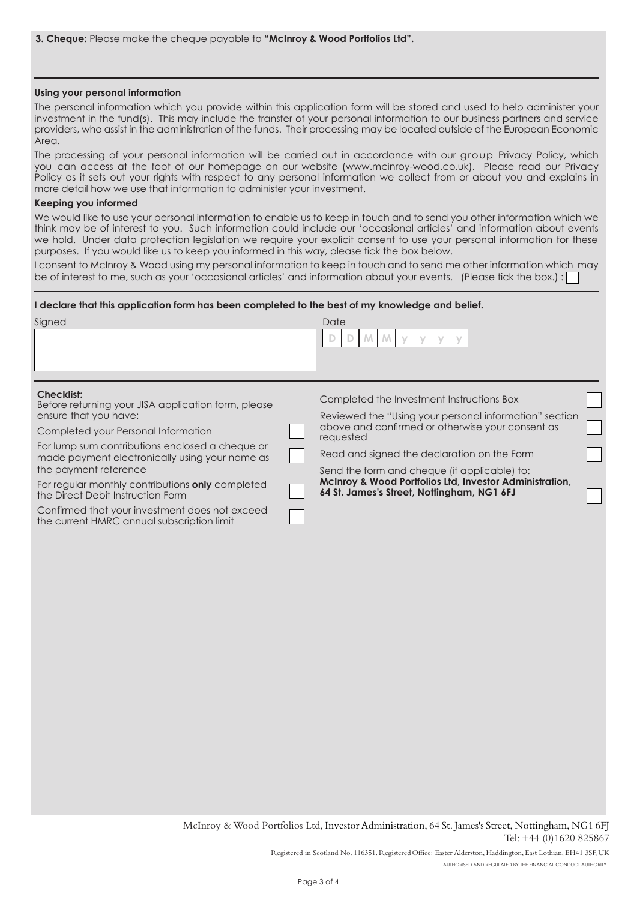#### Using your personal information

The personal information which you provide within this application form will be stored and used to help administer your investment in the fund(s). This may include the transfer of your personal information to our business partners and service providers, who assist in the administration of the funds. Their processing may be located outside of the European Economic Area.

The processing of your personal information will be carried out in accordance with our group Privacy Policy, which you can access at the foot of our homepage on our website (www.mcinroy-wood.co.uk). Please read our Privacy Policy as it sets out your rights with respect to any personal information we collect from or about you and explains in more detail how we use that information to administer your investment.

#### Keeping you informed

We would like to use your personal information to enable us to keep in touch and to send you other information which we think may be of interest to you. Such information could include our 'occasional articles' and information about events we hold. Under data protection legislation we require your explicit consent to use your personal information for these purposes. If you would like us to keep you informed in this way, please tick the box below.

I consent to McInroy & Wood using my personal information to keep in touch and to send me other information which may be of interest to me, such as your 'occasional articles' and information about your events. (Please tick the box.):

#### **I declare that this application form has been completed to the best of my knowledge and belief.**

| Signed                                                                                                                                                                                                                                                                                                                                                                                                                                                          | Date<br>M.                                                                                                                                                                                                                                                                                                                                                                   |  |
|-----------------------------------------------------------------------------------------------------------------------------------------------------------------------------------------------------------------------------------------------------------------------------------------------------------------------------------------------------------------------------------------------------------------------------------------------------------------|------------------------------------------------------------------------------------------------------------------------------------------------------------------------------------------------------------------------------------------------------------------------------------------------------------------------------------------------------------------------------|--|
| <b>Checklist:</b><br>Before returning your JISA application form, please<br>ensure that you have:<br>Completed your Personal Information<br>For lump sum contributions enclosed a cheque or<br>made payment electronically using your name as<br>the payment reference<br>For regular monthly contributions only completed<br>the Direct Debit Instruction Form<br>Confirmed that your investment does not exceed<br>the current HMRC annual subscription limit | Completed the Investment Instructions Box<br>Reviewed the "Using your personal information" section<br>above and confirmed or otherwise your consent as<br>requested<br>Read and signed the declaration on the Form<br>Send the form and cheque (if applicable) to:<br>McInroy & Wood Portfolios Ltd, Investor Administration,<br>64 St. James's Street, Nottingham, NG1 6FJ |  |